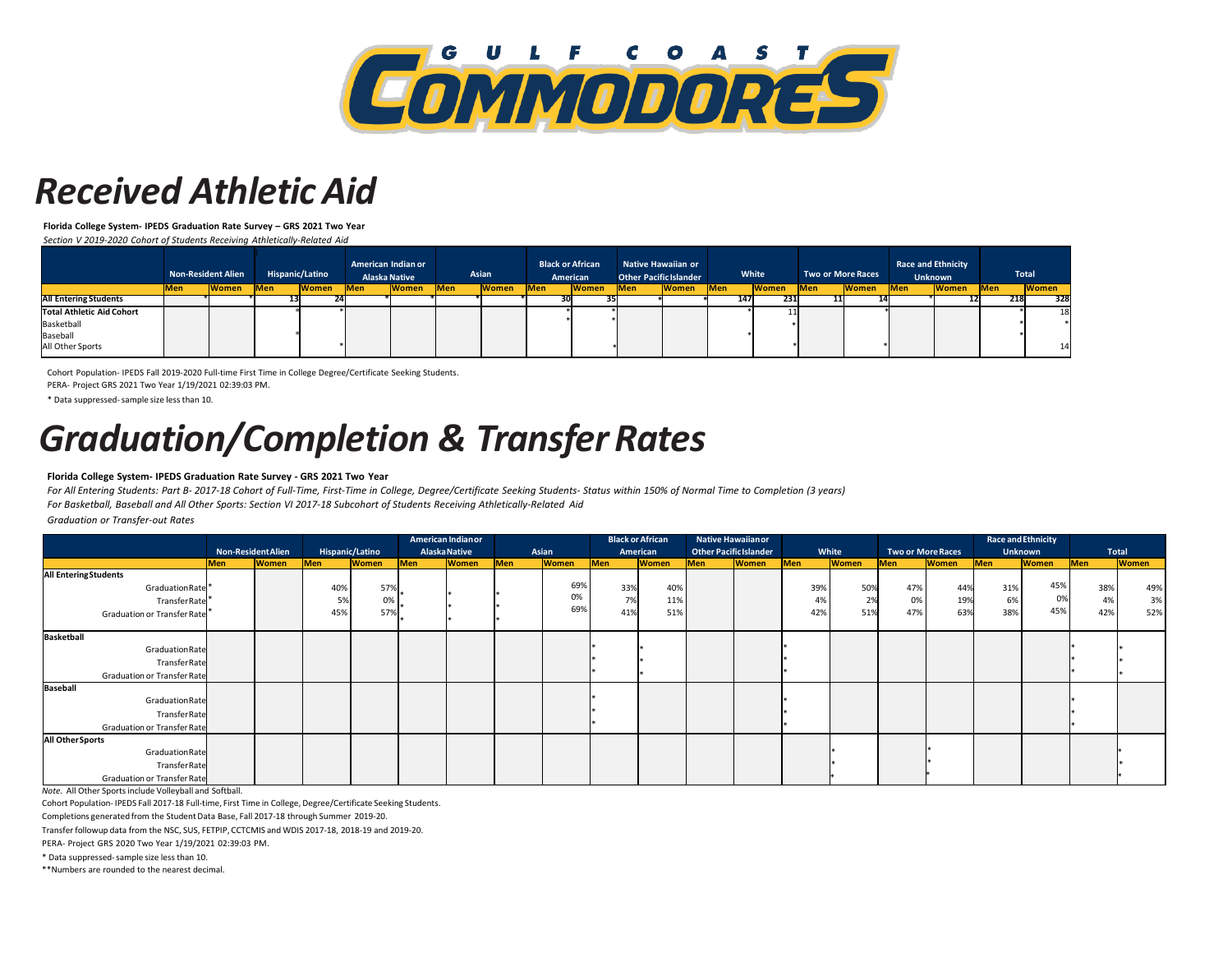

### *Received AthleticAid*

**Florida College System- IPEDS Graduation Rate Survey – GRS 2021 Two Year**

*Section V 2019-2020 Cohort of Students Receiving Athletically-Related Aid*

|                                  | <b>Non-Resident Alien</b> |              |            |              |            | Hispanic/Latino |            | American Indian or<br><b>Alaska Native</b> |            | Asian        | <b>Black or African</b><br>American |              | <b>Other Pacific Islander</b> | <b>Native Hawaiian or</b> |            | White        |            | <b>Two or More Races</b> | <b>Race and Ethnicity</b><br><b>Unknown</b> |              |  | <b>Total</b> |
|----------------------------------|---------------------------|--------------|------------|--------------|------------|-----------------|------------|--------------------------------------------|------------|--------------|-------------------------------------|--------------|-------------------------------|---------------------------|------------|--------------|------------|--------------------------|---------------------------------------------|--------------|--|--------------|
|                                  | <b>Men</b>                | <b>Women</b> | <b>Men</b> | <b>Women</b> | <b>Men</b> | <b>Women</b>    | <b>Men</b> | <b>Women</b>                               | <b>Men</b> | <b>Women</b> | <b>Men</b>                          | <b>Women</b> | <b>Men</b>                    | <b>Women</b>              | <b>Men</b> | <b>Women</b> | <b>Men</b> | <b>Women</b>             | <b>Men</b>                                  | <b>Women</b> |  |              |
| <b>All Entering Students</b>     |                           |              |            |              |            |                 |            |                                            |            |              |                                     |              | 147                           | 231                       |            |              |            |                          |                                             | 328<br>218   |  |              |
| <b>Total Athletic Aid Cohort</b> |                           |              |            |              |            |                 |            |                                            |            |              |                                     |              |                               |                           |            |              |            |                          |                                             | 18           |  |              |
| Basketball                       |                           |              |            |              |            |                 |            |                                            |            |              |                                     |              |                               |                           |            |              |            |                          |                                             |              |  |              |
| Baseball                         |                           |              |            |              |            |                 |            |                                            |            |              |                                     |              |                               |                           |            |              |            |                          |                                             |              |  |              |
| All Other Sports                 |                           |              |            |              |            |                 |            |                                            |            |              |                                     |              |                               |                           |            |              |            |                          |                                             | 14           |  |              |

Cohort Population- IPEDS Fall 2019-2020 Full-time First Time in College Degree/Certificate Seeking Students.

PERA- Project GRS 2021 Two Year 1/19/2021 02:39:03 PM.

\* Data suppressed-sample size less than 10.

# *Graduation/Completion & TransferRates*

#### **Florida College System- IPEDS Graduation Rate Survey - GRS 2021 Two Year**

*For All Entering Students: Part B- 2017-18 Cohort of Full-Time, First-Time in College, Degree/Certificate Seeking Students- Status within 150% of Normal Time to Completion (3 years) For Basketball, Baseball and All Other Sports: Section VI 2017-18 Subcohort of Students Receiving Athletically-Related Aid*

*Graduation or Transfer-out Rates*

|                             |                           |              |                 | American Indian or |                      |              |       | <b>Black or African</b> |          |              | <b>Native Hawaiian or</b>     |              |       |              |                          |              | <b>Race and Ethnicity</b> |              |              |              |
|-----------------------------|---------------------------|--------------|-----------------|--------------------|----------------------|--------------|-------|-------------------------|----------|--------------|-------------------------------|--------------|-------|--------------|--------------------------|--------------|---------------------------|--------------|--------------|--------------|
|                             | <b>Non-Resident Alien</b> |              | Hispanic/Latino |                    | <b>Alaska Native</b> |              | Asian |                         | American |              | <b>Other Pacific Islander</b> |              | White |              | <b>Two or More Races</b> |              | <b>Unknown</b>            |              | <b>Total</b> |              |
|                             | Men                       | <b>Women</b> | Men             | <b>Women</b>       | Men                  | <b>Women</b> | Men   | <b>Women</b>            | Men      | <b>Women</b> | Men                           | <b>Women</b> | Men   | <b>Women</b> | Men                      | <b>Women</b> | Men                       | <b>Women</b> | Men          | <b>Women</b> |
| <b>All EnteringStudents</b> |                           |              |                 |                    |                      |              |       |                         |          |              |                               |              |       |              |                          |              |                           |              |              |              |
| Graduation Rate             |                           |              | 40%             | 57%                |                      |              |       | 69%                     | 33%      | 40%          |                               |              | 39%   | 50%          | 47%                      | 44%          | 31%                       | 45%          | 38%          | 49%          |
| TransferRate                |                           |              | 5%              | 0%                 |                      |              |       | 0%                      | 7%       | 11%          |                               |              | 4%    | 2%           | 0%                       | 19%          | 6%                        | 0%           | 4%           | 3%           |
| Graduation or Transfer Rate |                           |              | 45%             | 57%                |                      |              |       | 69%                     | 41%      | 51%          |                               |              | 42%   | 51%          | 47%                      | 63%          | 38%                       | 45%          | 42%          | 52%          |
|                             |                           |              |                 |                    |                      |              |       |                         |          |              |                               |              |       |              |                          |              |                           |              |              |              |
| Basketball                  |                           |              |                 |                    |                      |              |       |                         |          |              |                               |              |       |              |                          |              |                           |              |              |              |
| Graduation Rate             |                           |              |                 |                    |                      |              |       |                         |          |              |                               |              |       |              |                          |              |                           |              |              |              |
| TransferRate                |                           |              |                 |                    |                      |              |       |                         |          |              |                               |              |       |              |                          |              |                           |              |              |              |
| Graduation or Transfer Rate |                           |              |                 |                    |                      |              |       |                         |          |              |                               |              |       |              |                          |              |                           |              |              |              |
| Baseball                    |                           |              |                 |                    |                      |              |       |                         |          |              |                               |              |       |              |                          |              |                           |              |              |              |
| Graduation Rate             |                           |              |                 |                    |                      |              |       |                         |          |              |                               |              |       |              |                          |              |                           |              |              |              |
| TransferRate                |                           |              |                 |                    |                      |              |       |                         |          |              |                               |              |       |              |                          |              |                           |              |              |              |
| Graduation or Transfer Rate |                           |              |                 |                    |                      |              |       |                         |          |              |                               |              |       |              |                          |              |                           |              |              |              |
| All Other Sports            |                           |              |                 |                    |                      |              |       |                         |          |              |                               |              |       |              |                          |              |                           |              |              |              |
| Graduation Rate             |                           |              |                 |                    |                      |              |       |                         |          |              |                               |              |       |              |                          |              |                           |              |              |              |
| TransferRate                |                           |              |                 |                    |                      |              |       |                         |          |              |                               |              |       |              |                          |              |                           |              |              |              |
| Graduation or Transfer Rate |                           |              |                 |                    |                      |              |       |                         |          |              |                               |              |       |              |                          |              |                           |              |              |              |

*Note.* All Other Sports include Volleyball and Softball.

Cohort Population- IPEDS Fall 2017-18 Full-time, First Time in College, Degree/Certificate Seeking Students.

Completions generated from the Student Data Base, Fall 2017-18 through Summer 2019-20.

Transfer followup data from the NSC, SUS, FETPIP, CCTCMIS and WDIS 2017-18, 2018-19 and 2019-20.

PERA- Project GRS 2020 Two Year 1/19/2021 02:39:03 PM.

\* Data suppressed-sample size less than 10.

\*\*Numbers are rounded to the nearest decimal.